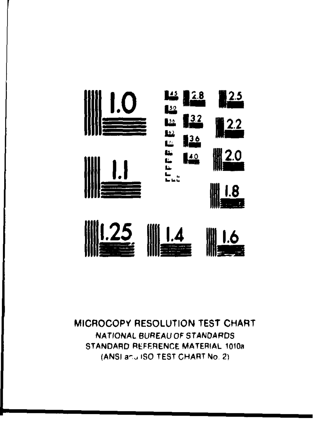



#### MICROCOPY RESOLUTION TEST CHART NATIONAL BUREAU OF STANDARDS STANDARD REFERENCE MATERIAL 1010a (ANSI anu ISO TEST CHART No. 2)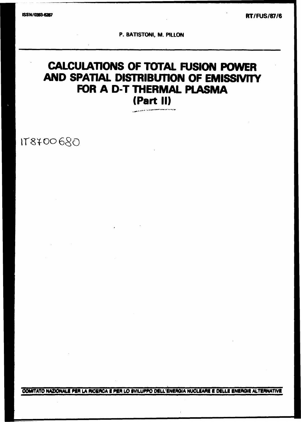**RT/FUS/87/6** 

P. BATISTONI, M. PILLON

# **CALCULATIONS OF TOTAL FUSION POWER** AND SPATIAL DISTRIBUTION OF EMISSIVITY FOR A D-T THERMAL PLASMA (Part II)

178700680

COMITATO NAZIONALE PER LA RICERCA E PER LO SVILUPPO DELL'ENERGIA NUCLEARE E DELLE ENERGIE ALTERNATIVE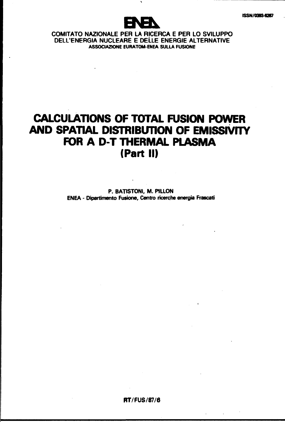

## **COMITATO NAZIONALE PER LA RICERCA E PER LO SVILUPPO DELL'ENERGIA NUCLEARE E DELLE ENERGIE ALTERNATIVE ASSOCIAZIONE EURATOM-ENEA SULLA FUSIONE**

## **CALCULATIONS OF TOTAL FUSION POWER AND SPATIAL DISTRIBUTION OF EMISSIVTTY FOR A D-T THERMAL PLASMA (Part II)**

**P. BATISTONI, M. P1LLON ENEA - Dipartimento Fusione, Centro ricerche energia Frascati** 

**RT/FUS/87/6** 

 $\mathbf{r} = \mathbf{r} \times \mathbf{r}$  , where  $\mathbf{r} = \mathbf{r} \times \mathbf{r}$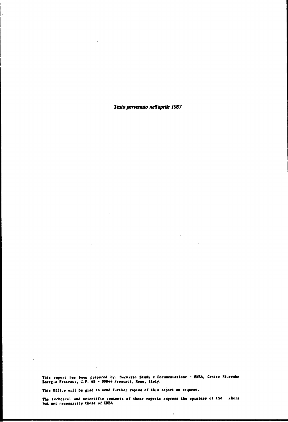Testo pervenuto nell'aprile 1987

This report has been prepared by. Servizio Studi e Documentazione - ENEA, Centro Ricerche<br>Energia Frascati, C.P. 65 - 00044 Frascati, Rome, Italy.

This Office will be glad to send further copies of this report on request.

The technical and scientific contents of these reports express the opinions of the .thors<br>but not necessarily those of ENEA

 $\bar{1}$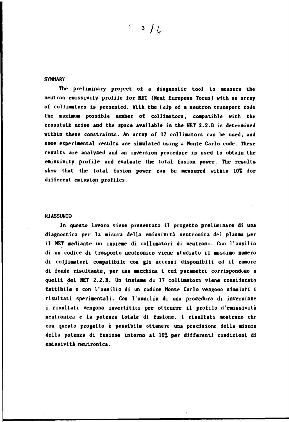#### **SYHMARY**

**The preliminary project of a diagnostic tool to measure the neutron emissivity profile for NET (Next European Torus) with an array of collimators is presented. With the i elp of a neutron transport code the maximum possible number of collimators, compatible with the crosstalk noise and the space available in the NET 2.2.B is determined within these constraints. An array of 17 collimators can be used, and some experimental results are simulated using** *&* **Monte Carlo code. These results are analyzed and an inversion procedure is used to obtain the emissivity profile and evaluate the total fusion power. The results show that the total fusion power can be measured within 10% for different emission profiles.** 

#### **RIASSUNTO**

**In questo lavoro viene presentato il progetto preliminare di una diagnostica per la misura della emissività neutronica del plasma per il NET mediante un insieme di collimatori di neutroni. Con l'ausilio di un codice di trasporto neutronico viene studiato il massimo numero di collimatori compatibile con gli accessi disponibili ed il rumore di fondo risultante, per una macchina i cui parametri corrispondono a quelli del NET 2.2.B. Un insieme di 17 collimatori viene considerato fattibile e con l'ausilio di un codice Monte Carlo vengono simulati i risultati sperimentali. Con l'ausilio di una procedura di inversione i risultati vengono invertititi per ottenere il profilo d'emissività neutronica e la potenza totale di fusione. I risultati mostrano che con questo progetto è possibile ottenere una precisione della misura della potenza di fusione intorno al 10% per differenti condizioni di emissività neutronica.**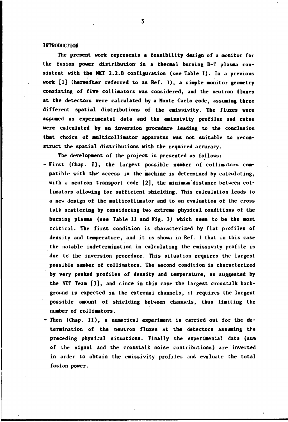#### **INTRODUCTION**

**The present work represents a feasibility design of a monitor for the fusion power distribution- in a thermal burning D-T plassa consistent with the NET 2.2.B configuration (see Table I). In a previous work [1] (hereafter referred to as Ref. 1), a siaple sonitor geoaetry consisting of five collimators was considered, and the neutron fluxes at the detectors were calculated by a Monte Carlo code, assuming three different spatial distributions of the eaissivity. The fluxes were assuaed as experimental data and the eaissivity profiles and rates were calculated by an inversion procedure leading to the conclusion that choice of wilticolliaator apparatus was not suitable to reconstruct the spatial distributions with the required accuracy.** 

- **The development of the project is presented as follows: - First (Chap. I), the largest possible nuaber of collimators compatible with the\* access in the machine is determined by calculating, with a neutron transport code [2], the minimum'distance between collimators allowing for sufficient shielding. This calculation leads to a new design of the aulticolliaator and to an evaluation of the cross talk scattering by considering two extreme physical conditions of the burning plasma (see Table II and Fig. 3) which seea to be the most critical. The first condition is characterized by flat profiles of density and temperature, and it is show» in Ref. 1 that in this case the notable indetermination in calculating the emissivity profile is due to the inversion procedure. This situation requires the largest possible nuaber of collimators. The second condition is characterized by very peaked profiles of density and temperature, as suggested by the NET Team [3], and since in this case the largest crosstalk background is expected in the external channels, it requires the largest possible amount of shielding between channels, thus limiting the number of collimators.**
- **Then (Chap. II), a numerical experiment is carried out for the determination of the neutron fluxes at the detectors assuming the preceding physical situations. Finally the experimental data (sum of the signal and the crosstalk noise contributions) are inverted in order to obtain the emissivity profiles and evaluate the total fusion power.**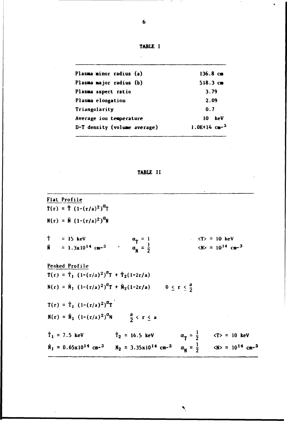**TABLE I** 

| Plasma minor radius (a)      | $136.8 \text{ cm}$ |  |
|------------------------------|--------------------|--|
| Plasma major radius (b)      | $518.3 \text{ cm}$ |  |
| Plasma aspect ratio          | 3.79               |  |
| Plasma elongation            | 2.09               |  |
| Triangolarity                | 0.7                |  |
| Average ion temperature      | keV<br>10          |  |
| D-T density (volume average) | 1.0E+14 $cm-3$     |  |
|                              |                    |  |

## **TABLE II**

**Flat Profile**   $T(r) = \hat{T} (1-(r/a)^2)^{T}$ **N**(r) =  $\hat{N}$  (1-(r/a)<sup>2</sup>)<sup>u</sup>N **f** = 15 keV  $\alpha_{\rm T} = 1$   $\langle T \rangle = 10$  keV  $\hat{\mathbf{N}}$  = 1.3x10<sup>14</sup> cm-<sup>3</sup> <br>**a**<sub>**u**</sub> =  $\frac{1}{2}$  <br>**b**  $\langle \mathbf{N} \rangle$  = 10<sup>14</sup> cm-<sup>3</sup> **Peaked Profile**   $T(r) = \hat{T}_1 (1-(r/a)^2)^{d}T + \hat{T}_2(1-2r/a)$  $N(r) = N_1 (1-(r/a)^2)^{10}T + N_2(1-2r/a)$  0 <  $r < \frac{a}{2}$  $T(r) = \hat{T}_1 (1-(r/a)^2)^{\alpha} T$ **N(r)** =  $\hat{N}_1$  (1-(r/a)<sup>2</sup>)<sup>u</sup>N  $\frac{a}{2}$  < r < a **t**<sub>1</sub> = 7.5 keV **f**<sub>2</sub> = 16.5 keV **a**<sub>**f**</sub> =  $\frac{1}{2}$  <T> = 10 ke  $\hat{N}_1 = 0.65 \times 10^{14} \text{ cm}^{-3}$   $N_2 = 3.35 \times 10^{14} \text{ cm}^{-3}$   $\alpha_N = \frac{1}{2}$   $\langle N \rangle = 10^{14} \text{ cm}^{-3}$ 

 $\ddot{\phantom{0}}$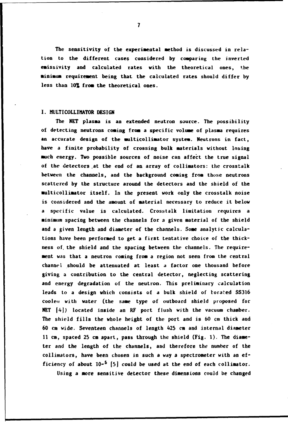**The sensitivity of the experimental method is discussed in relation to the different cases considered by comparing the inverted emissivity and calculated rates with the theoretical ones, the •inimum requireaent being that the calculated rates should differ by less than 10% from the theoretical ones.** 

### **I. MULTICOLLIMATOR DESIGN**

**The NET plasma is an extended neutron source. The possibility of detecting neutrons coming from a specific volume of plasma requires an accurate design of the multicollimator system. Neutrons in fact, have a finite probability of crossing bulk materials without losing much energy. Two possible sources of noise can affect the true signal of the detectors .at the end of an array of collimators: the crosstalk between the channels, and the background coming from those neutrons scattered by the structure around the detectors and the shield of the multicollimator itself. In the present work only the crosstalk noise is considered and the amount of material necessary to reduce it below a specific value is calculated. Crosstalk limitation requires a minimum spacing between the channels for a given material of the shield and a given length and diameter of the channels. Some analytic calculations have been performed to get a first tentative choice of the thickness of. the shield and the spacing between the channels. The requirement was that a neutron coming from a region not seen from the central channel should be attenuated at least a factor one thousand before giving a contribution to the central detector, neglecting scattering and energy degradation of the neutron. This preliminary calculation leads to a design which consists of a bulk shield of borafed SS316**  coolen with water (the same type of outboard shield proposed for **NET [4]) located inside an RF port flush with the vacuum chamber. The shield fills the whole height of the port and is 60 cm thick and 60 cm wide. Seventeen channels of length 425 cm and internal diameter 11 cm, spaced 25 cm apart, pass through the shield (Fig. 1). The diameter and the length of the channels, and therefore the number of the collimators, have been chosen in such a way a spectrometer with an efficiency of about 10-<sup>s</sup> [5] could be used at the end of each collimator.** 

**Using a more sensitive detector these dimensions could be changed**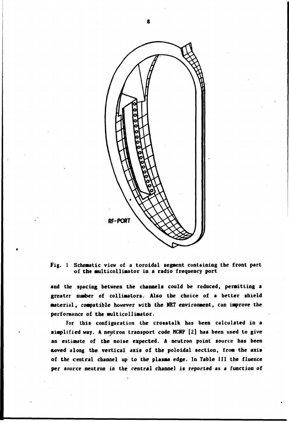

**Fig. 1 Scheaatic view of a toroidal segment containing the front part of the milticollimator in a radio frequency port** 

**and the spacing between the channels could be reduced, permitting a greater number of collimators. Also the choice of a better shield material, compatible however with the NET environment, can improve the performance of the multicollimator.** 

**For this configuration the crosstalk has been calculated in a simplified way. A neutron transport code MCNP [2] has been used to give an estimate of the noise expected. A neutron point source has been fcoved along the vertical axis of the poloidal section, from the axis of the central channel up to the plasma edge. In Table III the fluence per source neutron in the central channel is reported as a function of**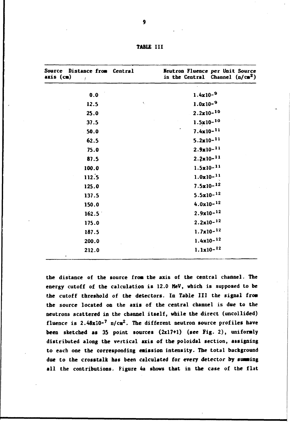| Source Distance from Central<br>$axis$ (cm)<br>$\sim t$ | Neutron Fluence per Unit Source<br>in the Central<br>Channel $(n/cm2)$ |  |
|---------------------------------------------------------|------------------------------------------------------------------------|--|
| 0.0                                                     | $1.4x10-9$                                                             |  |
| $\mathbf{S}_{\perp}$<br>12.5                            | $1.0x10-9$                                                             |  |
| 25.0                                                    | $2.2 \times 10^{-10}$                                                  |  |
| 37.5                                                    | $1.5x10-10$                                                            |  |
| 50.0                                                    | $7.4 \times 10^{-11}$                                                  |  |
| 62.5                                                    | $5.2 \times 10^{-11}$                                                  |  |
| 75.0                                                    | $2.9x10 - 11$                                                          |  |
| 87.5                                                    | $2.2 \times 10^{-11}$                                                  |  |
| 100.0                                                   | $1.5 \times 10^{-11}$                                                  |  |
| 112.5                                                   | $1.0x10-11$                                                            |  |
| 125.0                                                   | $7.5 \times 10^{-12}$                                                  |  |
| 137.5                                                   | $5.5 \times 10^{-12}$                                                  |  |
| 150.0                                                   | $4.0x10-12$                                                            |  |
| 162.5                                                   | $2.9x10 - 12$                                                          |  |
| 175.0                                                   | $2.2 \times 10^{-12}$                                                  |  |
| 187.5                                                   | $1.7x10-$ <sup>12</sup>                                                |  |
| 200.0                                                   | $1.4x10-12$                                                            |  |
| 212.0                                                   | $1.1x10 - 12$                                                          |  |

**TABLE III** 

the distance of the source from the axis of the central channel. The **energy cutoff of the calculation is 12.0 MeV, which is supposed to be the cutoff threshold of the detectors. In Table III the signal fro» the source located on the axis of the central channel is due to the neutrons scattered in the channel itself, while the direct (uncollided) fluence is 2.48xI0-<sup>7</sup> n/cm<sup>2</sup>. The different neutron source profiles have been sketched as 35 point sources (2x17+1) (see Fig.** *2),* **unifomly distributed along the vertical axis of the poloidal section, assigning to each one the corresponding eaission intensity. The total background due to the crosstalk has been calculated for every detector by sunaing all the contributions. Figure 4a shows that in the case of the flat**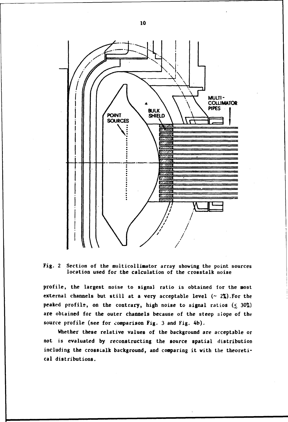

**Fig. 2 Section of the muiticollinator array showing the point sources location used for the calculation of the crosstalk noise** 

**profile, the largest noise to signal ratio is obtained for the most external channels but still at a very acceptable level (~ 2%).For the peaked profile, on the contrary, high noise to signal ratios (< 30%) are obtained for the outer channels because of the steep slope of the source profile (see for comparison Fig. 3 and Fig. 4b).** 

**Whether these relative values of the background are acceptable or not is evaluated by reconstructing the source spatial distribution including the crosstalk background, and comparing it with the theoretical distributions.**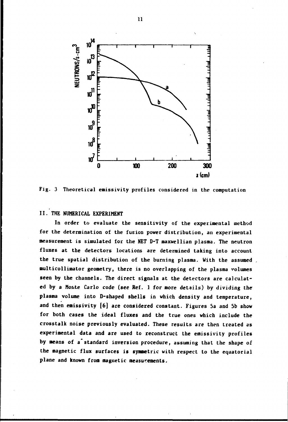

**Fig. 3 Theoretical emissivity profiles considered in the computation** 

## **II. THE NUMERICAL EXPERIMENT**

**In order to evaluate the sensitivity of the experimental method for the determination of the fusion power distribution, an experimental measurement is simulated for the NET D-T maxwellian plasma. The neutron fluxes at the detectors locations are determined taking into account the true spatial distribution of the burning plasma. With the assumed multicollimator geometry, there is no overlapping of the plasma volumes seen by the channels. The direct signals at the detectors are calculated by a Monte Carlo code (see Ref. 1 for more details) by dividing the plasma volume into D-shaped shells in which density and temperature, and then emissivity [6] are considered constant. Figures 5a and 5b show for both cases the ideal fluxes and the true ones which include the crosstalk noise previously evaluated. These results are then treated as experimental data and are used to reconstruct the emissivity profiles by means of a standard inversion procedure, assuming that the shape of the magnetic flux surfaces is symmetric with respect to the equatorial plane and known from magnetic measurements.**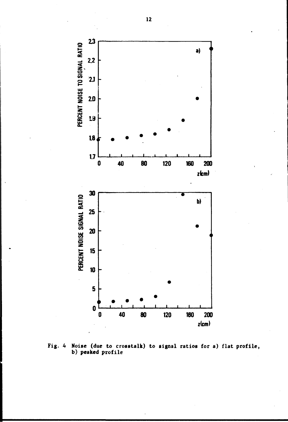

**Fig. 4 Noise (due to crosstalk) to signal ratios for a) flat profile, b) peaked profile**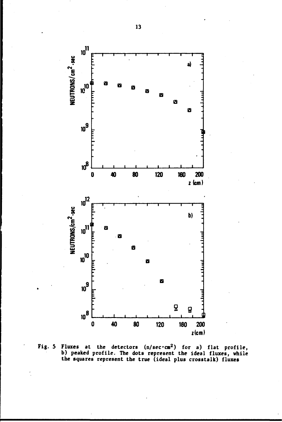

Fig. 5 Fluxes at the detectors  $(n/sec \cdot cm^2)$  for a) flat profile,<br>b) peaked profile. The dots represent the ideal fluxes, while<br>the squares represent the true (ideal plus crosstalk) fluxes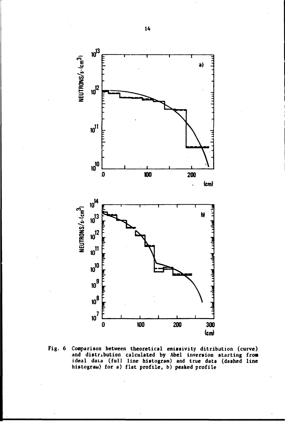

**Fig. 6 Comparison between theoretical emissivity ditributi on (curve) and distribution calculated by Abel inversion starting from ideal data (full line histogram) and true data (dashed line histograu) for a) flat profile, b) peaked profile**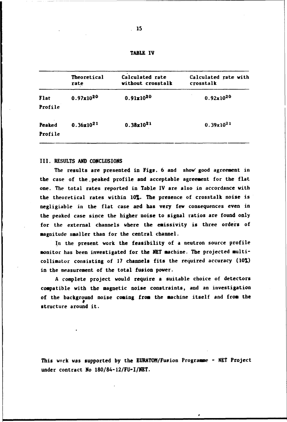| <b>TABLE</b> | TV |
|--------------|----|
|--------------|----|

|                   | Theoretical<br>rate | Calculated rate<br>without crosstalk | Calculated rate with<br>crosstalk |
|-------------------|---------------------|--------------------------------------|-----------------------------------|
| Flat<br>Profile   | $0.97x10^{20}$      | $0.91x10^{20}$                       | $0.92x10^{20}$                    |
| Peaked<br>Profile | $0.36x10^{21}$      | $0.38x10^{21}$                       | $0.39x10^{21}$                    |

#### **III. RESULTS AND CONCLUSIONS**

**The results are presented in Figs. 6 and show' good agreement in the case of the. peaked profile and acceptable agreement for the flat one. The total rates reported in Table IV are also in accordance with the theoretical rates within 10%. The presence of crosstalk noise is negligiable in the flat case and has very few consequences even in the peaked case since the higher noise to signal ratios are found only for the external channels where the emissivity is three orders of magnitude smaller than for the central channel.** 

**In the present work the feasibility of a neutron source profile monitor has been investigated for the NET machine. The projected multicollimator consisting of 17 channels fits the required accuracy (10%) in the measurement of the total fusion power.** 

**A complete project would require a suitable choice of detectors compatible with the magnetic noise constraints, and an investigation of the background noise coming from the machine itself and from the structure around it.** 

**This work was supported by the EURATOM/Fusion Programme - NET Project under contract No 180/84-12/FU-I/NET.**